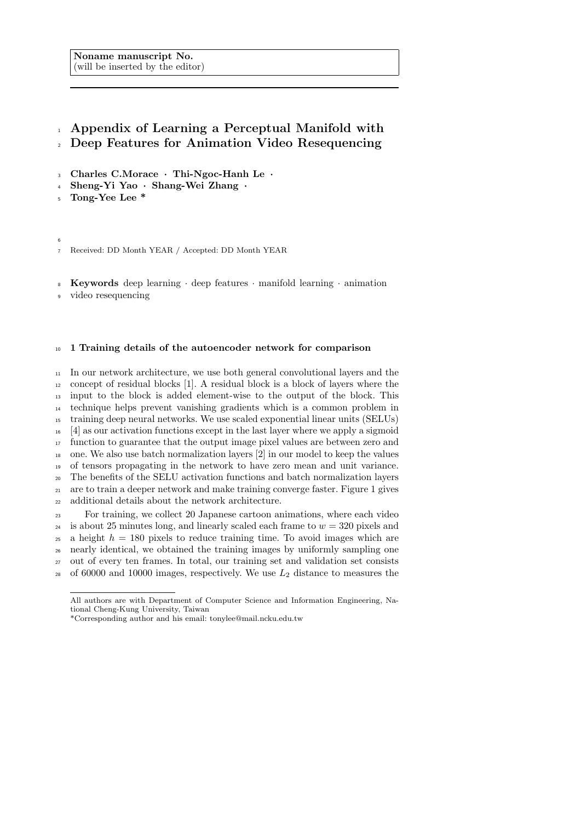Noname manuscript No. (will be inserted by the editor)

# Appendix of Learning a Perceptual Manifold with Deep Features for Animation Video Resequencing

- Charles C.Morace · Thi-Ngoc-Hanh Le ·
- Sheng-Yi Yao · Shang-Wei Zhang ·
- Tong-Yee Lee \*

Received: DD Month YEAR / Accepted: DD Month YEAR

Keywords deep learning · deep features · manifold learning · animation

video resequencing

# 1 Training details of the autoencoder network for comparison

 In our network architecture, we use both general convolutional layers and the concept of residual blocks [1]. A residual block is a block of layers where the input to the block is added element-wise to the output of the block. This technique helps prevent vanishing gradients which is a common problem in training deep neural networks. We use scaled exponential linear units (SELUs) [4] as our activation functions except in the last layer where we apply a sigmoid function to guarantee that the output image pixel values are between zero and one. We also use batch normalization layers [2] in our model to keep the values of tensors propagating in the network to have zero mean and unit variance. The benefits of the SELU activation functions and batch normalization layers are to train a deeper network and make training converge faster. Figure 1 gives additional details about the network architecture.

 For training, we collect 20 Japanese cartoon animations, where each video <sup>24</sup> is about 25 minutes long, and linearly scaled each frame to  $w = 320$  pixels and a height  $h = 180$  pixels to reduce training time. To avoid images which are nearly identical, we obtained the training images by uniformly sampling one out of every ten frames. In total, our training set and validation set consists 28 of 60000 and 10000 images, respectively. We use  $L_2$  distance to measures the

All authors are with Department of Computer Science and Information Engineering, National Cheng-Kung University, Taiwan

<sup>\*</sup>Corresponding author and his email: tonylee@mail.ncku.edu.tw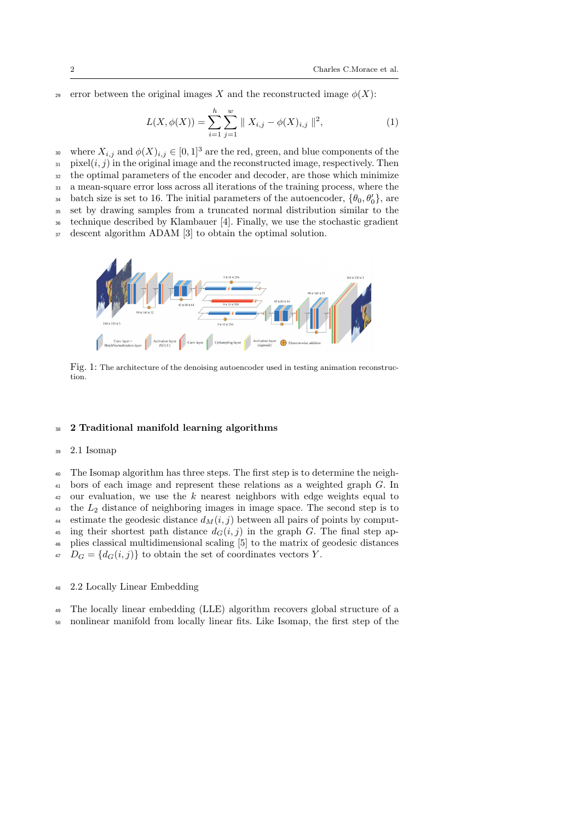29 error between the original images X and the reconstructed image  $\phi(X)$ :

$$
L(X, \phi(X)) = \sum_{i=1}^{h} \sum_{j=1}^{w} || X_{i,j} - \phi(X)_{i,j} ||^2,
$$
 (1)

where  $X_{i,j}$  and  $\phi(X)_{i,j} \in [0,1]^3$  are the red, green, and blue components of the  $\text{in } [i,j)$  in the original image and the reconstructed image, respectively. Then <sup>32</sup> the optimal parameters of the encoder and decoder, are those which minimize <sup>33</sup> a mean-square error loss across all iterations of the training process, where the <sup>34</sup> batch size is set to 16. The initial parameters of the autoencoder,  ${\theta_0, \theta'_0}$ , are <sup>35</sup> set by drawing samples from a truncated normal distribution similar to the <sup>36</sup> technique described by Klambauer [4]. Finally, we use the stochastic gradient

<sup>37</sup> descent algorithm ADAM [3] to obtain the optimal solution.



Fig. 1: The architecture of the denoising autoencoder used in testing animation reconstruction.

### <sup>38</sup> 2 Traditional manifold learning algorithms

#### <sup>39</sup> 2.1 Isomap

<sup>40</sup> The Isomap algorithm has three steps. The first step is to determine the neigh-<sup>41</sup> bors of each image and represent these relations as a weighted graph G. In  $42$  our evaluation, we use the k nearest neighbors with edge weights equal to  $\mu_3$  the  $L_2$  distance of neighboring images in image space. The second step is to 44 estimate the geodesic distance  $d_M(i, j)$  between all pairs of points by comput-<sup>45</sup> ing their shortest path distance  $d_G(i, j)$  in the graph G. The final step ap-<sup>46</sup> plies classical multidimensional scaling [5] to the matrix of geodesic distances  $D_G = \{d_G(i, j)\}\$ to obtain the set of coordinates vectors Y.

#### <sup>48</sup> 2.2 Locally Linear Embedding

- <sup>49</sup> The locally linear embedding (LLE) algorithm recovers global structure of a
- <sup>50</sup> nonlinear manifold from locally linear fits. Like Isomap, the first step of the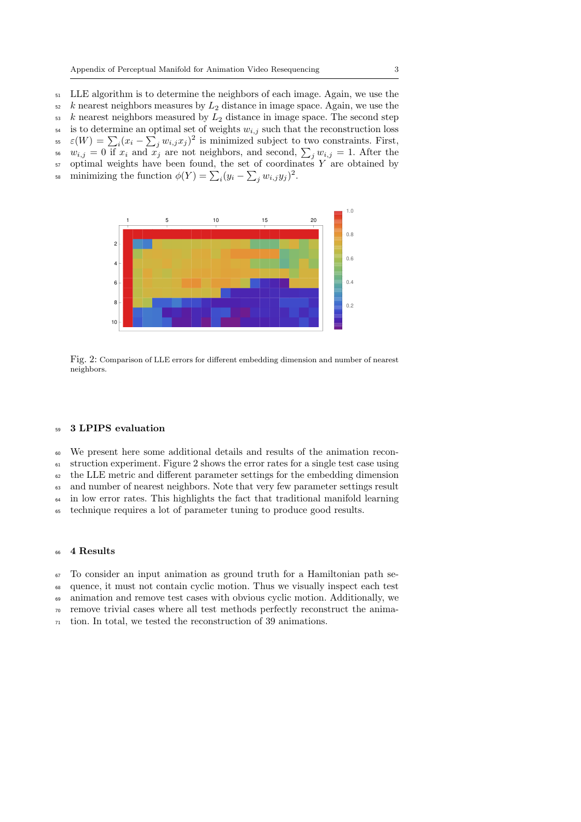<sup>51</sup> LLE algorithm is to determine the neighbors of each image. Again, we use the  $\frac{1}{52}$  k nearest neighbors measures by  $L_2$  distance in image space. Again, we use the  $53 \text{ } k$  nearest neighbors measured by  $L_2$  distance in image space. The second step  $54$  is to determine an optimal set of weights  $w_{i,j}$  such that the reconstruction loss <sup>55</sup>  $\varepsilon(W) = \sum_i (x_i - \sum_j w_{i,j} x_j)^2$  is minimized subject to two constraints. First, <sup>56</sup>  $w_{i,j} = 0$  if  $x_i$  and  $x_j$  are not neighbors, and second,  $\sum_j w_{i,j} = 1$ . After the  $\mathfrak{sp}$  optimal weights have been found, the set of coordinates Y are obtained by

<sup>58</sup> minimizing the function  $\phi(Y) = \sum_i (y_i - \sum_j w_{i,j} y_j)^2$ .



Fig. 2: Comparison of LLE errors for different embedding dimension and number of nearest neighbors.

#### <sup>59</sup> 3 LPIPS evaluation

<sup>60</sup> We present here some additional details and results of the animation recon-

<sup>61</sup> struction experiment. Figure 2 shows the error rates for a single test case using

 $62$  the LLE metric and different parameter settings for the embedding dimension

<sup>63</sup> and number of nearest neighbors. Note that very few parameter settings result

<sup>64</sup> in low error rates. This highlights the fact that traditional manifold learning

<sup>65</sup> technique requires a lot of parameter tuning to produce good results.

# <sup>66</sup> 4 Results

<sup>67</sup> To consider an input animation as ground truth for a Hamiltonian path se-

<sup>68</sup> quence, it must not contain cyclic motion. Thus we visually inspect each test

<sup>69</sup> animation and remove test cases with obvious cyclic motion. Additionally, we

<sup>70</sup> remove trivial cases where all test methods perfectly reconstruct the anima-

 $71$  tion. In total, we tested the reconstruction of 39 animations.